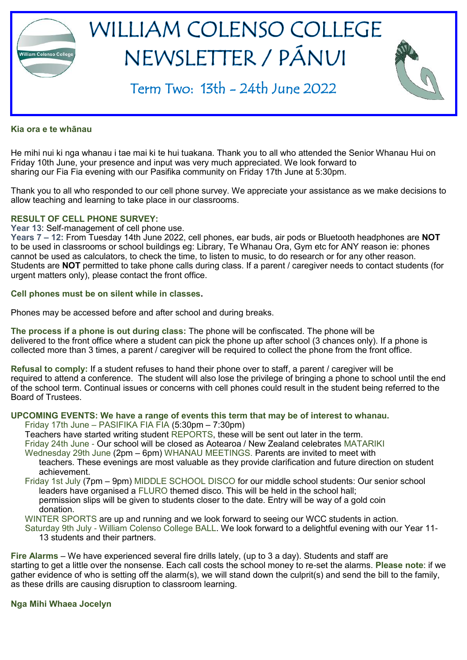

#### **Kia ora e te whānau**

He mihi nui ki nga whanau i tae mai ki te hui tuakana. Thank you to all who attended the Senior Whanau Hui on Friday 10th June, your presence and input was very much appreciated. We look forward to sharing our Fia Fia evening with our Pasifika community on Friday 17th June at 5:30pm.

Thank you to all who responded to our cell phone survey. We appreciate your assistance as we make decisions to allow teaching and learning to take place in our classrooms.

#### **RESULT OF CELL PHONE SURVEY:**

**Year 13**: Self-management of cell phone use.

**Years 7 – 12:** From Tuesday 14th June 2022, cell phones, ear buds, air pods or Bluetooth headphones are **NOT**  to be used in classrooms or school buildings eg: Library, Te Whanau Ora, Gym etc for ANY reason ie: phones cannot be used as calculators, to check the time, to listen to music, to do research or for any other reason. Students are **NOT** permitted to take phone calls during class. If a parent / caregiver needs to contact students (for urgent matters only), please contact the front office.

#### **Cell phones must be on silent while in classes.**

Phones may be accessed before and after school and during breaks.

**The process if a phone is out during class:** The phone will be confiscated. The phone will be delivered to the front office where a student can pick the phone up after school (3 chances only). If a phone is collected more than 3 times, a parent / caregiver will be required to collect the phone from the front office.

**Refusal to comply:** If a student refuses to hand their phone over to staff, a parent / caregiver will be required to attend a conference. The student will also lose the privilege of bringing a phone to school until the end of the school term. Continual issues or concerns with cell phones could result in the student being referred to the Board of Trustees.

### **UPCOMING EVENTS: We have a range of events this term that may be of interest to whanau.**

Friday 17th June – PASIFIKA FIA FIA (5:30pm – 7:30pm)

Teachers have started writing student REPORTS, these will be sent out later in the term.

Friday 24th June - Our school will be closed as Aotearoa / New Zealand celebrates MATARIKI

Wednesday 29th June (2pm – 6pm) WHANAU MEETINGS. Parents are invited to meet with

- teachers. These evenings are most valuable as they provide clarification and future direction on student achievement.
- Friday 1st July (7pm 9pm) MIDDLE SCHOOL DISCO for our middle school students: Our senior school leaders have organised a FLURO themed disco. This will be held in the school hall; permission slips will be given to students closer to the date. Entry will be way of a gold coin donation.

WINTER SPORTS are up and running and we look forward to seeing our WCC students in action.

Saturday 9th July - William Colenso College BALL. We look forward to a delightful evening with our Year 11- 13 students and their partners.

**Fire Alarms** – We have experienced several fire drills lately, (up to 3 a day). Students and staff are starting to get a little over the nonsense. Each call costs the school money to re-set the alarms. **Please note**: if we gather evidence of who is setting off the alarm(s), we will stand down the culprit(s) and send the bill to the family, as these drills are causing disruption to classroom learning.

#### **Nga Mihi Whaea Jocelyn**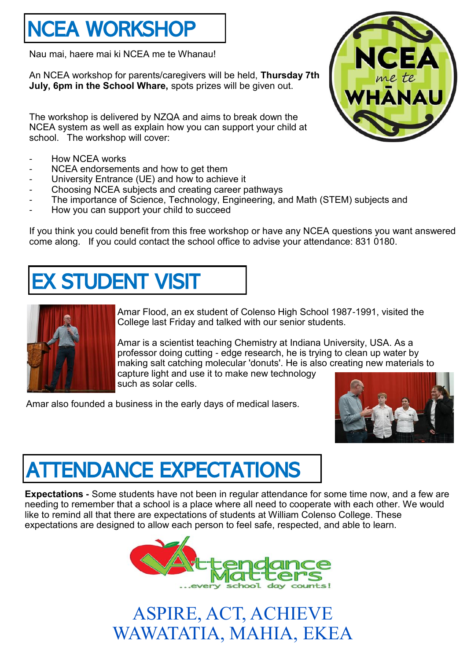### NCEA WORKSHOP

Nau mai, haere mai ki NCEA me te Whanau!

An NCEA workshop for parents/caregivers will be held, **Thursday 7th July, 6pm in the School Whare,** spots prizes will be given out.

The workshop is delivered by NZQA and aims to break down the NCEA system as well as explain how you can support your child at school. The workshop will cover:

- How NCEA works
- NCEA endorsements and how to get them
- University Entrance (UE) and how to achieve it
- Choosing NCEA subjects and creating career pathways
- The importance of Science, Technology, Engineering, and Math (STEM) subjects and
- How you can support your child to succeed

If you think you could benefit from this free workshop or have any NCEA questions you want answered come along. If you could contact the school office to advise your attendance: 831 0180.

### EX STUDENT VISIT



Amar Flood, an ex student of Colenso High School 1987-1991, visited the College last Friday and talked with our senior students.

Amar is a scientist teaching Chemistry at Indiana University, USA. As a professor doing cutting - edge research, he is trying to clean up water by making salt catching molecular 'donuts'. He is also creating new materials to capture light and use it to make new technology such as solar cells.

Amar also founded a business in the early days of medical lasers.



## ATTENDANCE EXPECTATIONS

**Expectations -** Some students have not been in regular attendance for some time now, and a few are needing to remember that a school is a place where all need to cooperate with each other. We would like to remind all that there are expectations of students at William Colenso College. These expectations are designed to allow each person to feel safe, respected, and able to learn.



ASPIRE, ACT, ACHIEVE WAWATATIA, MAHIA, EKEA

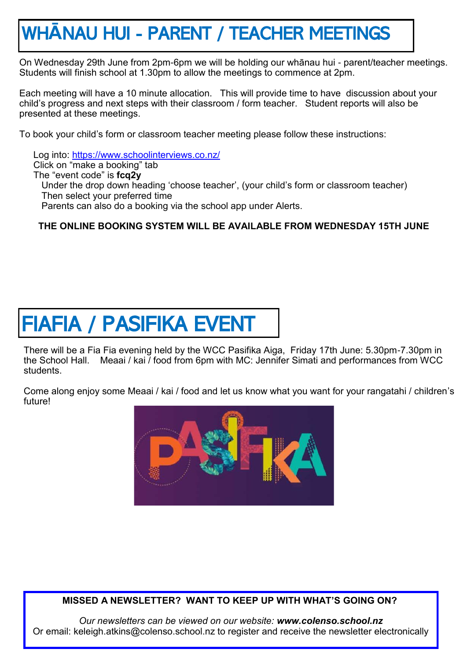### WH**Ā**NAU HUI - PARENT / TEACHER MEETINGS

On Wednesday 29th June from 2pm-6pm we will be holding our whānau hui - parent/teacher meetings. Students will finish school at 1.30pm to allow the meetings to commence at 2pm.

Each meeting will have a 10 minute allocation. This will provide time to have discussion about your child's progress and next steps with their classroom / form teacher. Student reports will also be presented at these meetings.

To book your child's form or classroom teacher meeting please follow these instructions:

Log into: [https://www.schoolinterviews.co.nz/](https://l.facebook.com/l.php?u=https%3A%2F%2Fwww.schoolinterviews.co.nz%2F%3Ffbclid%3DIwAR0NMB4BPsCmUwHFC1pS-0pZeY7S_zeA8MwO_Da2NaxdEQdINFEOL2q4P4E&h=AT0Sm5_BqbT74ZlSs7OvgzT718bf_9WiZww9gFoxvVfCRx028tIUtFEsx7i1n9c2kaLy37UT5fUB8-glVMxh0bkuqlPQmTwlbzs8hz0_YAHKp) Click on "make a booking" tab The "event code" is **fcq2y**  Under the drop down heading 'choose teacher', (your child's form or classroom teacher) Then select your preferred time Parents can also do a booking via the school app under Alerts.

### **THE ONLINE BOOKING SYSTEM WILL BE AVAILABLE FROM WEDNESDAY 15TH JUNE**

# FIAFIA / PASIFIKA EVENT

There will be a Fia Fia evening held by the WCC Pasifika Aiga, Friday 17th June: 5.30pm-7.30pm in the School Hall. Meaai / kai / food from 6pm with MC: Jennifer Simati and performances from WCC students.

Come along enjoy some Meaai / kai / food and let us know what you want for your rangatahi / children's future!



**MISSED A NEWSLETTER? WANT TO KEEP UP WITH WHAT'S GOING ON?**

*Our newsletters can be viewed on our website: www.colenso.school.nz* Or email: keleigh.atkins@colenso.school.nz to register and receive the newsletter electronically